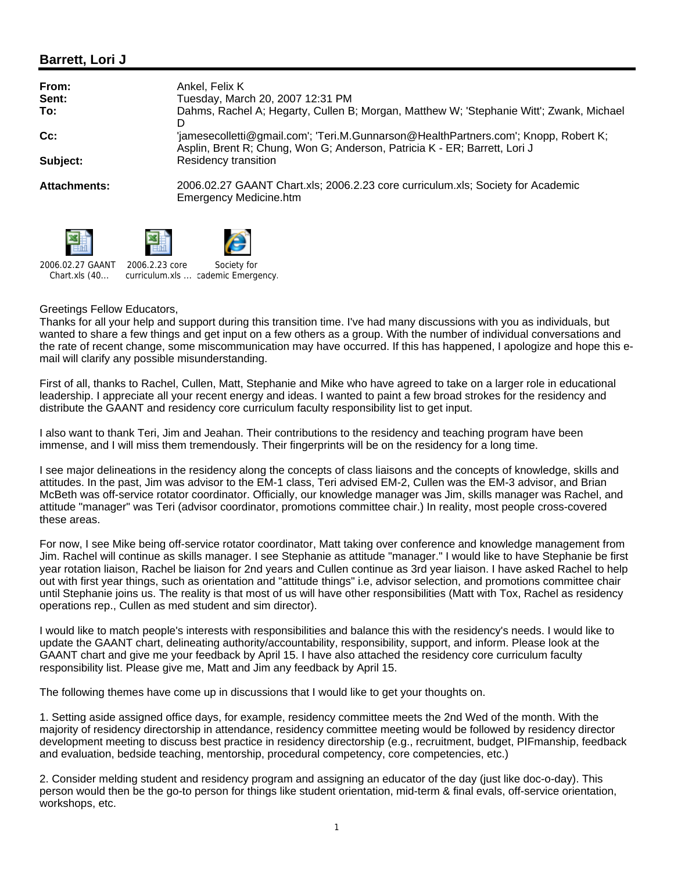## **Barrett, Lori J**

| From:<br>Sent:<br>To: | Ankel, Felix K<br>Tuesday, March 20, 2007 12:31 PM<br>Dahms, Rachel A; Hegarty, Cullen B; Morgan, Matthew W; 'Stephanie Witt'; Zwank, Michael                         |
|-----------------------|-----------------------------------------------------------------------------------------------------------------------------------------------------------------------|
| Cc:                   | D<br>'jamesecolletti@gmail.com'; 'Teri.M.Gunnarson@HealthPartners.com'; Knopp, Robert K;<br>Asplin, Brent R; Chung, Won G; Anderson, Patricia K - ER; Barrett, Lori J |
| Subject:              | Residency transition                                                                                                                                                  |
| <b>Attachments:</b>   | 2006.02.27 GAANT Chart.xls; 2006.2.23 core curriculum.xls; Society for Academic<br>Emergency Medicine.htm                                                             |

2006.02.27 GAANT



Chart.xls (40... 2006.2.23 core curriculum.xls ... cademic Emergency. Society for

## Greetings Fellow Educators,

Thanks for all your help and support during this transition time. I've had many discussions with you as individuals, but wanted to share a few things and get input on a few others as a group. With the number of individual conversations and the rate of recent change, some miscommunication may have occurred. If this has happened, I apologize and hope this email will clarify any possible misunderstanding.

First of all, thanks to Rachel, Cullen, Matt, Stephanie and Mike who have agreed to take on a larger role in educational leadership. I appreciate all your recent energy and ideas. I wanted to paint a few broad strokes for the residency and distribute the GAANT and residency core curriculum faculty responsibility list to get input.

I also want to thank Teri, Jim and Jeahan. Their contributions to the residency and teaching program have been immense, and I will miss them tremendously. Their fingerprints will be on the residency for a long time.

I see major delineations in the residency along the concepts of class liaisons and the concepts of knowledge, skills and attitudes. In the past, Jim was advisor to the EM-1 class, Teri advised EM-2, Cullen was the EM-3 advisor, and Brian McBeth was off-service rotator coordinator. Officially, our knowledge manager was Jim, skills manager was Rachel, and attitude "manager" was Teri (advisor coordinator, promotions committee chair.) In reality, most people cross-covered these areas.

For now, I see Mike being off-service rotator coordinator, Matt taking over conference and knowledge management from Jim. Rachel will continue as skills manager. I see Stephanie as attitude "manager." I would like to have Stephanie be first year rotation liaison, Rachel be liaison for 2nd years and Cullen continue as 3rd year liaison. I have asked Rachel to help out with first year things, such as orientation and "attitude things" i.e, advisor selection, and promotions committee chair until Stephanie joins us. The reality is that most of us will have other responsibilities (Matt with Tox, Rachel as residency operations rep., Cullen as med student and sim director).

I would like to match people's interests with responsibilities and balance this with the residency's needs. I would like to update the GAANT chart, delineating authority/accountability, responsibility, support, and inform. Please look at the GAANT chart and give me your feedback by April 15. I have also attached the residency core curriculum faculty responsibility list. Please give me, Matt and Jim any feedback by April 15.

The following themes have come up in discussions that I would like to get your thoughts on.

1. Setting aside assigned office days, for example, residency committee meets the 2nd Wed of the month. With the majority of residency directorship in attendance, residency committee meeting would be followed by residency director development meeting to discuss best practice in residency directorship (e.g., recruitment, budget, PIFmanship, feedback and evaluation, bedside teaching, mentorship, procedural competency, core competencies, etc.)

2. Consider melding student and residency program and assigning an educator of the day (just like doc-o-day). This person would then be the go-to person for things like student orientation, mid-term & final evals, off-service orientation, workshops, etc.